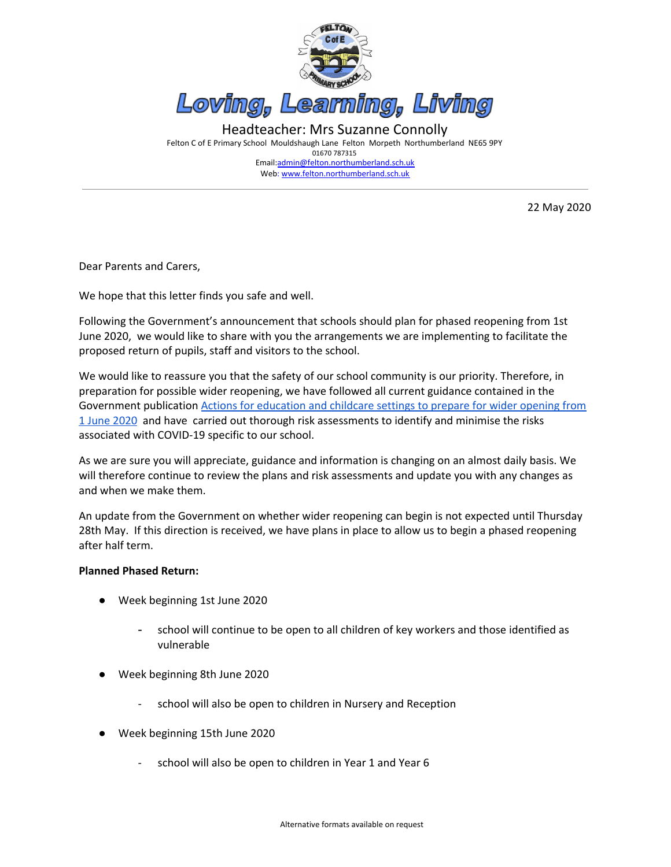

01670 787315 Email:[admin@felton.northumberland.sch.uk](mailto:admin@felton.northumberland.sch.uk) Web: www.felton.northumberland.sch.uk

22 May 2020

Dear Parents and Carers,

We hope that this letter finds you safe and well.

Following the Government's announcement that schools should plan for phased reopening from 1st June 2020, we would like to share with you the arrangements we are implementing to facilitate the proposed return of pupils, staff and visitors to the school.

We would like to reassure you that the safety of our school community is our priority. Therefore, in preparation for possible wider reopening, we have followed all current guidance contained in the Government publication Actions for [education](https://www.gov.uk/government/publications/actions-for-educational-and-childcare-settings-to-prepare-for-wider-opening-from-1-june-2020/actions-for-education-and-childcare-settings-to-prepare-for-wider-opening-from-1-june-2020) and childcare settings to prepare for wider opening from 1 June [2020](https://www.gov.uk/government/publications/actions-for-educational-and-childcare-settings-to-prepare-for-wider-opening-from-1-june-2020/actions-for-education-and-childcare-settings-to-prepare-for-wider-opening-from-1-june-2020) and have carried out thorough risk assessments to identify and minimise the risks associated with COVID-19 specific to our school.

As we are sure you will appreciate, guidance and information is changing on an almost daily basis. We will therefore continue to review the plans and risk assessments and update you with any changes as and when we make them.

An update from the Government on whether wider reopening can begin is not expected until Thursday 28th May. If this direction is received, we have plans in place to allow us to begin a phased reopening after half term.

#### **Planned Phased Return:**

- Week beginning 1st June 2020
	- school will continue to be open to all children of key workers and those identified as vulnerable
- Week beginning 8th June 2020
	- school will also be open to children in Nursery and Reception
- Week beginning 15th June 2020
	- school will also be open to children in Year 1 and Year 6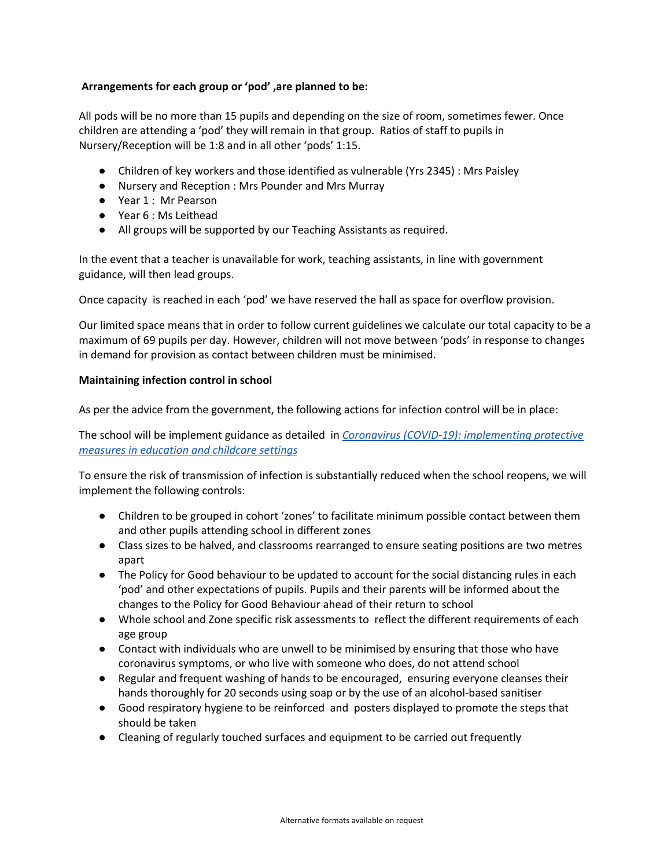## **Arrangements for each group or 'pod' ,are planned to be:**

All pods will be no more than 15 pupils and depending on the size of room, sometimes fewer. Once children are attending a 'pod' they will remain in that group. Ratios of staff to pupils in Nursery/Reception will be 1:8 and in all other 'pods' 1:15.

- Children of key workers and those identified as vulnerable (Yrs 2345) : Mrs Paisley
- Nursery and Reception : Mrs Pounder and Mrs Murray
- Year 1 : Mr Pearson
- Year 6 : Ms Leithead
- All groups will be supported by our Teaching Assistants as required.

In the event that a teacher is unavailable for work, teaching assistants, in line with government guidance, will then lead groups.

Once capacity is reached in each 'pod' we have reserved the hall as space for overflow provision.

Our limited space means that in order to follow current guidelines we calculate our total capacity to be a maximum of 69 pupils per day. However, children will not move between 'pods' in response to changes in demand for provision as contact between children must be minimised.

#### **Maintaining infection control in school**

As per the advice from the government, the following actions for infection control will be in place:

The school will be implement guidance as detailed in *Coronavirus (COVID-19): [implementing](https://www.gov.uk/government/publications/coronavirus-covid-19-implementing-social-distancing-in-education-and-childcare-settings/coronavirus-covid-19-implementing-social-distancing-in-education-and-childcare-settings) protective measures in [education](https://www.gov.uk/government/publications/coronavirus-covid-19-implementing-social-distancing-in-education-and-childcare-settings/coronavirus-covid-19-implementing-social-distancing-in-education-and-childcare-settings) and childcare settings*

To ensure the risk of transmission of infection is substantially reduced when the school reopens, we will implement the following controls:

- Children to be grouped in cohort 'zones' to facilitate minimum possible contact between them and other pupils attending school in different zones
- Class sizes to be halved, and classrooms rearranged to ensure seating positions are two metres apart
- The Policy for Good behaviour to be updated to account for the social distancing rules in each 'pod' and other expectations of pupils. Pupils and their parents will be informed about the changes to the Policy for Good Behaviour ahead of their return to school
- Whole school and Zone specific risk assessments to reflect the different requirements of each age group
- Contact with individuals who are unwell to be minimised by ensuring that those who have coronavirus symptoms, or who live with someone who does, do not attend school
- Regular and frequent washing of hands to be encouraged, ensuring everyone cleanses their hands thoroughly for 20 seconds using soap or by the use of an alcohol-based sanitiser
- Good respiratory hygiene to be reinforced and posters displayed to promote the steps that should be taken
- Cleaning of regularly touched surfaces and equipment to be carried out frequently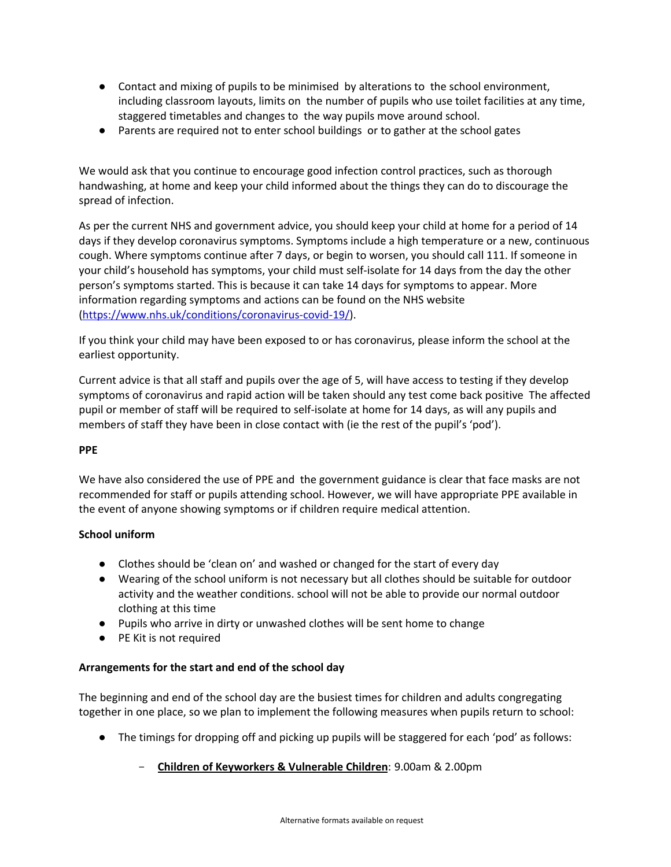- Contact and mixing of pupils to be minimised by alterations to the school environment, including classroom layouts, limits on the number of pupils who use toilet facilities at any time, staggered timetables and changes to the way pupils move around school.
- Parents are required not to enter school buildings or to gather at the school gates

We would ask that you continue to encourage good infection control practices, such as thorough handwashing, at home and keep your child informed about the things they can do to discourage the spread of infection.

As per the current NHS and government advice, you should keep your child at home for a period of 14 days if they develop coronavirus symptoms. Symptoms include a high temperature or a new, continuous cough. Where symptoms continue after 7 days, or begin to worsen, you should call 111. If someone in your child's household has symptoms, your child must self-isolate for 14 days from the day the other person's symptoms started. This is because it can take 14 days for symptoms to appear. More information regarding symptoms and actions can be found on the NHS website [\(https://www.nhs.uk/conditions/coronavirus-covid-19/\)](https://www.nhs.uk/conditions/coronavirus-covid-19/).

If you think your child may have been exposed to or has coronavirus, please inform the school at the earliest opportunity.

Current advice is that all staff and pupils over the age of 5, will have access to testing if they develop symptoms of coronavirus and rapid action will be taken should any test come back positive The affected pupil or member of staff will be required to self-isolate at home for 14 days, as will any pupils and members of staff they have been in close contact with (ie the rest of the pupil's 'pod').

### **PPE**

We have also considered the use of PPE and the government guidance is clear that face masks are not recommended for staff or pupils attending school. However, we will have appropriate PPE available in the event of anyone showing symptoms or if children require medical attention.

# **School uniform**

- Clothes should be 'clean on' and washed or changed for the start of every day
- Wearing of the school uniform is not necessary but all clothes should be suitable for outdoor activity and the weather conditions. school will not be able to provide our normal outdoor clothing at this time
- Pupils who arrive in dirty or unwashed clothes will be sent home to change
- PE Kit is not required

### **Arrangements for the start and end of the school day**

The beginning and end of the school day are the busiest times for children and adults congregating together in one place, so we plan to implement the following measures when pupils return to school:

- The timings for dropping off and picking up pupils will be staggered for each 'pod' as follows:
	- **Children of Keyworkers & Vulnerable Children**: 9.00am & 2.00pm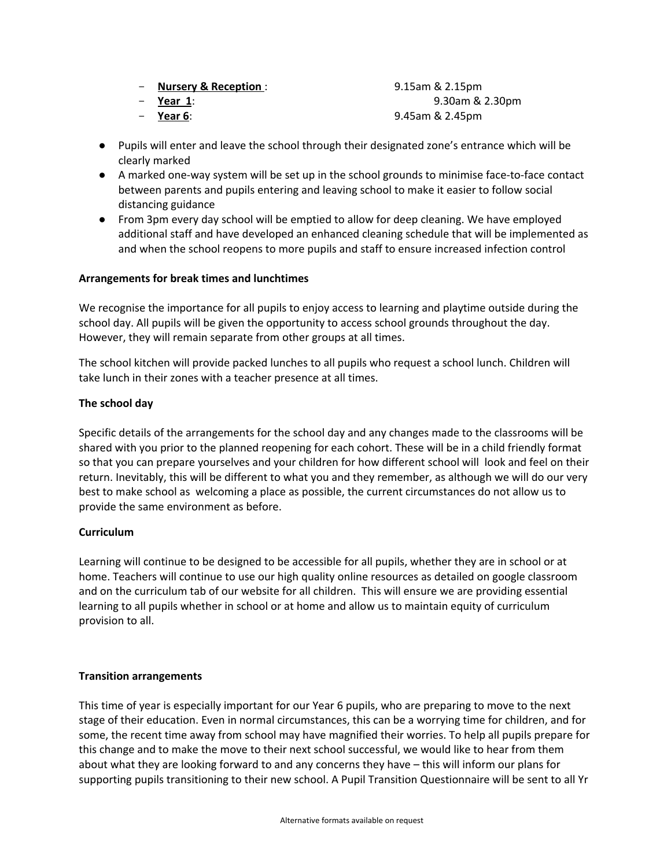|  | <b>Nursery &amp; Reception:</b> |  |
|--|---------------------------------|--|
|  |                                 |  |

$$
- \quad \underline{\text{Year 1:}}
$$

- **Year 6**: 9.45am & 2.45pm

● Pupils will enter and leave the school through their designated zone's entrance which will be clearly marked

- **Nursery & Reception** : 9.15am & 2.15pm

- **Year 1**: 9.30am & 2.30pm

- A marked one-way system will be set up in the school grounds to minimise face-to-face contact between parents and pupils entering and leaving school to make it easier to follow social distancing guidance
- From 3pm every day school will be emptied to allow for deep cleaning. We have employed additional staff and have developed an enhanced cleaning schedule that will be implemented as and when the school reopens to more pupils and staff to ensure increased infection control

## **Arrangements for break times and lunchtimes**

We recognise the importance for all pupils to enjoy access to learning and playtime outside during the school day. All pupils will be given the opportunity to access school grounds throughout the day. However, they will remain separate from other groups at all times.

The school kitchen will provide packed lunches to all pupils who request a school lunch. Children will take lunch in their zones with a teacher presence at all times.

## **The school day**

Specific details of the arrangements for the school day and any changes made to the classrooms will be shared with you prior to the planned reopening for each cohort. These will be in a child friendly format so that you can prepare yourselves and your children for how different school will look and feel on their return. Inevitably, this will be different to what you and they remember, as although we will do our very best to make school as welcoming a place as possible, the current circumstances do not allow us to provide the same environment as before.

### **Curriculum**

Learning will continue to be designed to be accessible for all pupils, whether they are in school or at home. Teachers will continue to use our high quality online resources as detailed on google classroom and on the curriculum tab of our website for all children. This will ensure we are providing essential learning to all pupils whether in school or at home and allow us to maintain equity of curriculum provision to all.

### **Transition arrangements**

This time of year is especially important for our Year 6 pupils, who are preparing to move to the next stage of their education. Even in normal circumstances, this can be a worrying time for children, and for some, the recent time away from school may have magnified their worries. To help all pupils prepare for this change and to make the move to their next school successful, we would like to hear from them about what they are looking forward to and any concerns they have – this will inform our plans for supporting pupils transitioning to their new school. A Pupil Transition Questionnaire will be sent to all Yr